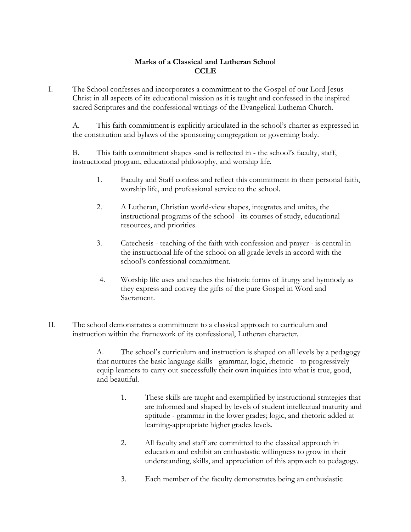## **Marks of a Classical and Lutheran School CCLE**

I. The School confesses and incorporates a commitment to the Gospel of our Lord Jesus Christ in all aspects of its educational mission as it is taught and confessed in the inspired sacred Scriptures and the confessional writings of the Evangelical Lutheran Church.

 A. This faith commitment is explicitly articulated in the school's charter as expressed in the constitution and bylaws of the sponsoring congregation or governing body.

 B. This faith commitment shapes -and is reflected in - the school's faculty, staff, instructional program, educational philosophy, and worship life.

- 1. Faculty and Staff confess and reflect this commitment in their personal faith, worship life, and professional service to the school.
- 2. A Lutheran, Christian world-view shapes, integrates and unites, the instructional programs of the school - its courses of study, educational resources, and priorities.
- 3. Catechesis teaching of the faith with confession and prayer is central in the instructional life of the school on all grade levels in accord with the school's confessional commitment.
- 4. Worship life uses and teaches the historic forms of liturgy and hymnody as they express and convey the gifts of the pure Gospel in Word and Sacrament.
- II. The school demonstrates a commitment to a classical approach to curriculum and instruction within the framework of its confessional, Lutheran character.

 A. The school's curriculum and instruction is shaped on all levels by a pedagogy that nurtures the basic language skills - grammar, logic, rhetoric - to progressively equip learners to carry out successfully their own inquiries into what is true, good, and beautiful.

- 1. These skills are taught and exemplified by instructional strategies that are informed and shaped by levels of student intellectual maturity and aptitude - grammar in the lower grades; logic, and rhetoric added at learning-appropriate higher grades levels.
- 2. All faculty and staff are committed to the classical approach in education and exhibit an enthusiastic willingness to grow in their understanding, skills, and appreciation of this approach to pedagogy.
- 3. Each member of the faculty demonstrates being an enthusiastic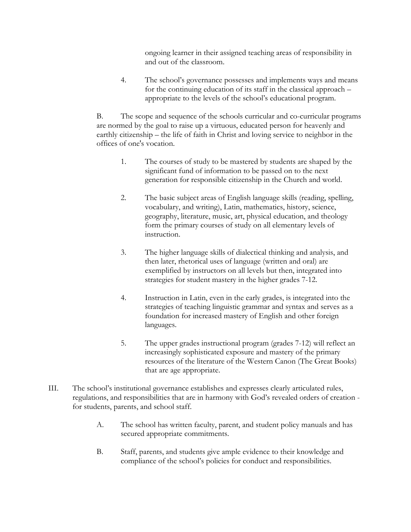ongoing learner in their assigned teaching areas of responsibility in and out of the classroom.

 4. The school's governance possesses and implements ways and means for the continuing education of its staff in the classical approach – appropriate to the levels of the school's educational program.

 B. The scope and sequence of the schools curricular and co-curricular programs are normed by the goal to raise up a virtuous, educated person for heavenly and earthly citizenship – the life of faith in Christ and loving service to neighbor in the offices of one's vocation.

- 1. The courses of study to be mastered by students are shaped by the significant fund of information to be passed on to the next generation for responsible citizenship in the Church and world.
- 2. The basic subject areas of English language skills (reading, spelling, vocabulary, and writing), Latin, mathematics, history, science, geography, literature, music, art, physical education, and theology form the primary courses of study on all elementary levels of instruction.
- 3. The higher language skills of dialectical thinking and analysis, and then later, rhetorical uses of language (written and oral) are exemplified by instructors on all levels but then, integrated into strategies for student mastery in the higher grades 7-12.
- 4. Instruction in Latin, even in the early grades, is integrated into the strategies of teaching linguistic grammar and syntax and serves as a foundation for increased mastery of English and other foreign languages.
- 5. The upper grades instructional program (grades 7-12) will reflect an increasingly sophisticated exposure and mastery of the primary resources of the literature of the Western Canon (The Great Books) that are age appropriate.
- III. The school's institutional governance establishes and expresses clearly articulated rules, regulations, and responsibilities that are in harmony with God's revealed orders of creation for students, parents, and school staff.
	- A. The school has written faculty, parent, and student policy manuals and has secured appropriate commitments.
	- B. Staff, parents, and students give ample evidence to their knowledge and compliance of the school's policies for conduct and responsibilities.